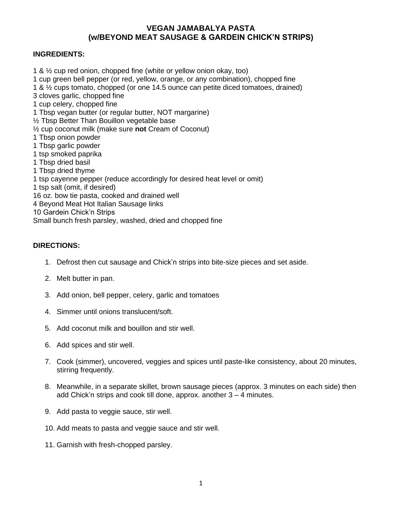## **VEGAN JAMABALYA PASTA (w/BEYOND MEAT SAUSAGE & GARDEIN CHICK'N STRIPS)**

## **INGREDIENTS:**

1 & ½ cup red onion, chopped fine (white or yellow onion okay, too) 1 cup green bell pepper (or red, yellow, orange, or any combination), chopped fine 1 & ½ cups tomato, chopped (or one 14.5 ounce can petite diced tomatoes, drained) 3 cloves garlic, chopped fine 1 cup celery, chopped fine 1 Tbsp vegan butter (or regular butter, NOT margarine) ½ Tbsp Better Than Bouillon vegetable base ½ cup coconut milk (make sure **not** Cream of Coconut) 1 Tbsp onion powder 1 Tbsp garlic powder 1 tsp smoked paprika 1 Tbsp dried basil 1 Tbsp dried thyme 1 tsp cayenne pepper (reduce accordingly for desired heat level or omit) 1 tsp salt (omit, if desired) 16 oz. bow tie pasta, cooked and drained well 4 Beyond Meat Hot Italian Sausage links 10 Gardein Chick'n Strips Small bunch fresh parsley, washed, dried and chopped fine

## **DIRECTIONS:**

- 1. Defrost then cut sausage and Chick'n strips into bite-size pieces and set aside.
- 2. Melt butter in pan.
- 3. Add onion, bell pepper, celery, garlic and tomatoes
- 4. Simmer until onions translucent/soft.
- 5. Add coconut milk and bouillon and stir well.
- 6. Add spices and stir well.
- 7. Cook (simmer), uncovered, veggies and spices until paste-like consistency, about 20 minutes, stirring frequently.
- 8. Meanwhile, in a separate skillet, brown sausage pieces (approx. 3 minutes on each side) then add Chick'n strips and cook till done, approx. another 3 – 4 minutes.
- 9. Add pasta to veggie sauce, stir well.
- 10. Add meats to pasta and veggie sauce and stir well.
- 11. Garnish with fresh-chopped parsley.